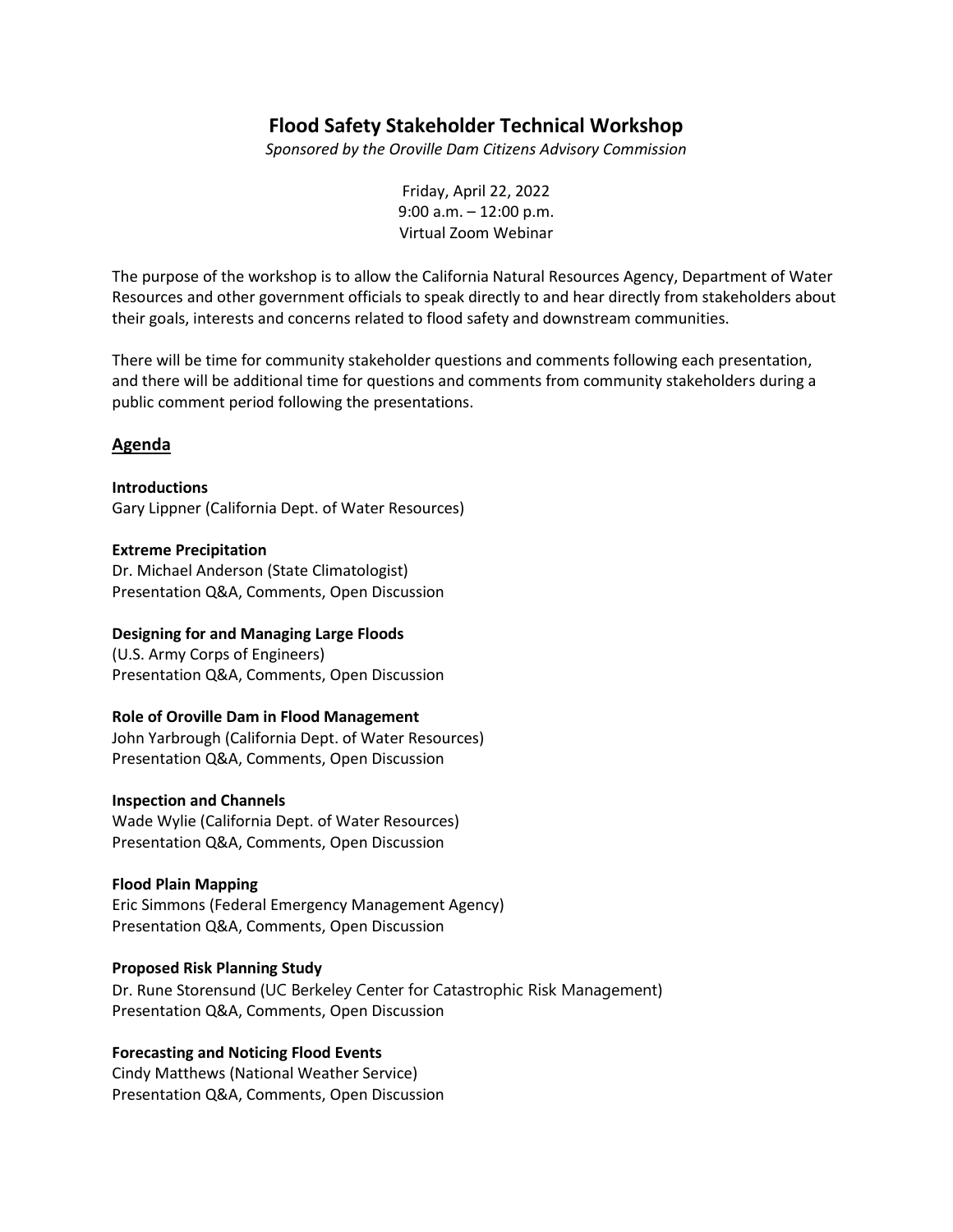# **Flood Safety Stakeholder Technical Workshop**

*Sponsored by the Oroville Dam Citizens Advisory Commission* 

Friday, April 22, 2022 9:00 a.m. – 12:00 p.m. Virtual Zoom Webinar

The purpose of the workshop is to allow the California Natural Resources Agency, Department of Water Resources and other government officials to speak directly to and hear directly from stakeholders about their goals, interests and concerns related to flood safety and downstream communities.

There will be time for community stakeholder questions and comments following each presentation, and there will be additional time for questions and comments from community stakeholders during a public comment period following the presentations.

# **Agenda**

**Introductions**

Gary Lippner (California Dept. of Water Resources)

#### **Extreme Precipitation**

Dr. Michael Anderson (State Climatologist) Presentation Q&A, Comments, Open Discussion

## **Designing for and Managing Large Floods**

(U.S. Army Corps of Engineers) Presentation Q&A, Comments, Open Discussion

## **Role of Oroville Dam in Flood Management**

John Yarbrough (California Dept. of Water Resources) Presentation Q&A, Comments, Open Discussion

#### **Inspection and Channels**

Wade Wylie (California Dept. of Water Resources) Presentation Q&A, Comments, Open Discussion

## **Flood Plain Mapping**

Eric Simmons (Federal Emergency Management Agency) Presentation Q&A, Comments, Open Discussion

## **Proposed Risk Planning Study**

Dr. Rune Storensund (UC Berkeley Center for Catastrophic Risk Management) Presentation Q&A, Comments, Open Discussion

## **Forecasting and Noticing Flood Events**

Cindy Matthews (National Weather Service) Presentation Q&A, Comments, Open Discussion